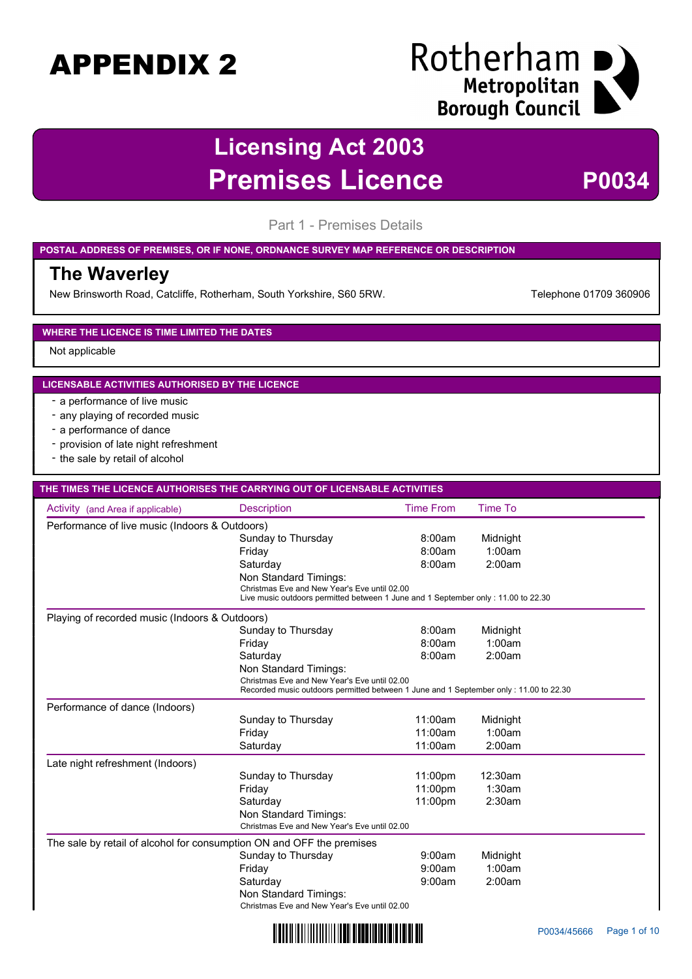# Rotherham D

# **Licensing Act 2003 Premises Licence** P0034

Part 1 - Premises Details

#### **POSTAL ADDRESS OF PREMISES, OR IF NONE, ORDNANCE SURVEY MAP REFERENCE OR DESCRIPTION**

#### **The Waverley**

New Brinsworth Road, Catcliffe, Rotherham, South Yorkshire, S60 5RW. The Manuscriptum of the US\$0906

#### **WHERE THE LICENCE IS TIME LIMITED THE DATES**

Not applicable

#### **LICENSABLE ACTIVITIES AUTHORISED BY THE LICENCE**

- a performance of live music
- any playing of recorded music
- a performance of dance
- provision of late night refreshment
- the sale by retail of alcohol

| Activity (and Area if applicable)              | <b>Description</b>                                                                                                                     | <b>Time From</b> | Time To  |
|------------------------------------------------|----------------------------------------------------------------------------------------------------------------------------------------|------------------|----------|
| Performance of live music (Indoors & Outdoors) |                                                                                                                                        |                  |          |
|                                                | Sunday to Thursday                                                                                                                     | 8:00am           | Midnight |
|                                                | Friday                                                                                                                                 | 8:00am           | 1:00am   |
|                                                | Saturday                                                                                                                               | 8:00am           | 2:00am   |
|                                                | Non Standard Timings:                                                                                                                  |                  |          |
|                                                | Christmas Eve and New Year's Eve until 02.00                                                                                           |                  |          |
|                                                | Live music outdoors permitted between 1 June and 1 September only : 11.00 to 22.30                                                     |                  |          |
| Playing of recorded music (Indoors & Outdoors) |                                                                                                                                        |                  |          |
|                                                | Sunday to Thursday                                                                                                                     | 8:00am           | Midnight |
|                                                | Friday                                                                                                                                 | 8:00am           | 1:00am   |
|                                                | Saturday                                                                                                                               | 8:00am           | 2:00am   |
|                                                | Non Standard Timings:                                                                                                                  |                  |          |
|                                                | Christmas Eve and New Year's Eve until 02.00<br>Recorded music outdoors permitted between 1 June and 1 September only : 11.00 to 22.30 |                  |          |
| Performance of dance (Indoors)                 |                                                                                                                                        |                  |          |
|                                                | Sunday to Thursday                                                                                                                     | 11:00am          | Midnight |
|                                                | Friday                                                                                                                                 | 11:00am          | 1:00am   |
|                                                | Saturday                                                                                                                               | 11:00am          | 2:00am   |
| Late night refreshment (Indoors)               |                                                                                                                                        |                  |          |
|                                                | Sunday to Thursday                                                                                                                     | 11:00pm          | 12:30am  |
|                                                | Friday                                                                                                                                 | 11:00pm          | 1:30am   |
|                                                | Saturday                                                                                                                               | 11:00pm          | 2:30am   |
|                                                | Non Standard Timings:                                                                                                                  |                  |          |
|                                                | Christmas Eve and New Year's Eve until 02.00                                                                                           |                  |          |
|                                                | The sale by retail of alcohol for consumption ON and OFF the premises                                                                  |                  |          |
|                                                | Sunday to Thursday                                                                                                                     | 9:00am           | Midnight |
|                                                | Friday                                                                                                                                 | 9:00am           | 1:00am   |
|                                                | Saturday                                                                                                                               | 9:00am           | 2:00am   |
|                                                | Non Standard Timings:                                                                                                                  |                  |          |
|                                                | Christmas Eve and New Year's Eve until 02.00                                                                                           |                  |          |

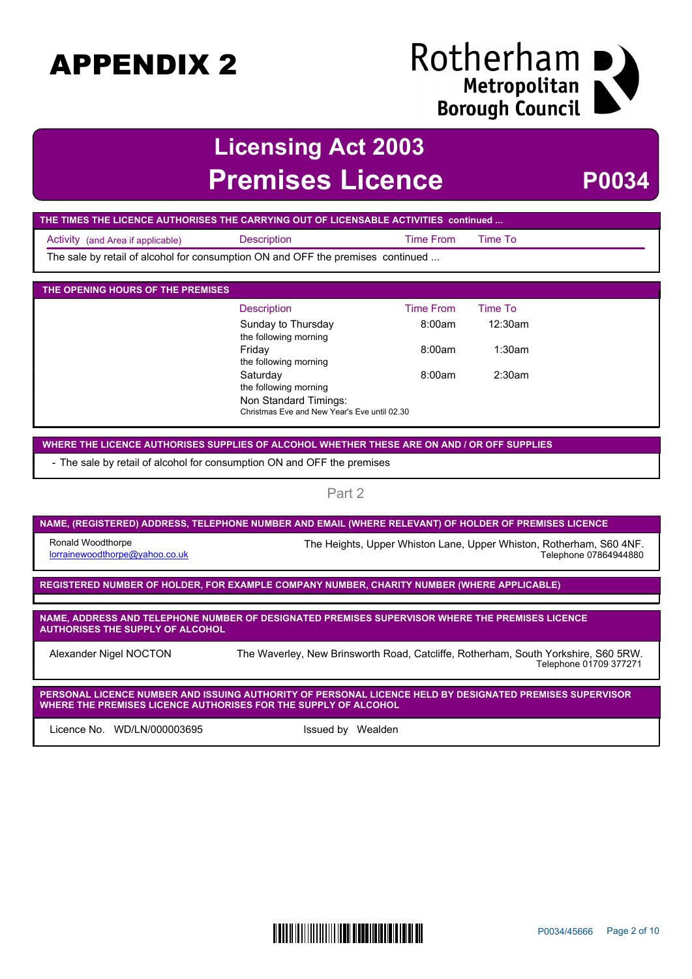# Rotherham D

# **Licensing Act 2003 Premises Licence** P0034

| . THE TIMES THE LICENCE AUTHORISES THE CARRYING OUT OF LICENSABLE ACTIVITIES  continued  ' |             |           |         |  |
|--------------------------------------------------------------------------------------------|-------------|-----------|---------|--|
| Activity (and Area if applicable)                                                          | Description | Time From | Time To |  |
| The sale by retail of alcohol for consumption ON and OFF the premises continued            |             |           |         |  |
|                                                                                            |             |           |         |  |

#### **THE OPENING HOURS OF THE PREMISES**

| <b>Description</b>                                                                                         | <b>Time From</b> | Time To |
|------------------------------------------------------------------------------------------------------------|------------------|---------|
| Sunday to Thursday<br>the following morning                                                                | 8:00am           | 12:30am |
| Friday<br>the following morning                                                                            | 8:00am           | 1:30am  |
| Saturday<br>the following morning<br>Non Standard Timings:<br>Christmas Eve and New Year's Eve until 02.30 | 8:00am           | 2:30am  |

**WHERE THE LICENCE AUTHORISES SUPPLIES OF ALCOHOL WHETHER THESE ARE ON AND / OR OFF SUPPLIES**

- The sale by retail of alcohol for consumption ON and OFF the premises

Part 2

|                                                                 | NAME, (REGISTERED) ADDRESS, TELEPHONE NUMBER AND EMAIL (WHERE RELEVANT) OF HOLDER OF PREMISES LICENCE        |
|-----------------------------------------------------------------|--------------------------------------------------------------------------------------------------------------|
| Ronald Woodthorpe<br>lorrainewoodthorpe@yahoo.co.uk             | The Heights, Upper Whiston Lane, Upper Whiston, Rotherham, S60 4NF.<br>Telephone 07864944880                 |
|                                                                 | REGISTERED NUMBER OF HOLDER, FOR EXAMPLE COMPANY NUMBER, CHARITY NUMBER (WHERE APPLICABLE)                   |
|                                                                 |                                                                                                              |
|                                                                 |                                                                                                              |
| <b>AUTHORISES THE SUPPLY OF ALCOHOL</b>                         | NAME, ADDRESS AND TELEPHONE NUMBER OF DESIGNATED PREMISES SUPERVISOR WHERE THE PREMISES LICENCE              |
| Alexander Nigel NOCTON                                          | The Waverley, New Brinsworth Road, Catcliffe, Rotherham, South Yorkshire, S60 5RW.<br>Telephone 01709 377271 |
|                                                                 |                                                                                                              |
| WHERE THE PREMISES LICENCE AUTHORISES FOR THE SUPPLY OF ALCOHOL | PERSONAL LICENCE NUMBER AND ISSUING AUTHORITY OF PERSONAL LICENCE HELD BY DESIGNATED PREMISES SUPERVISOR     |
|                                                                 |                                                                                                              |

Licence No. WD/LN/000003695 Server States and States and Muslim Muslim Muslim Muslim Muslim Muslim Muslim Musl

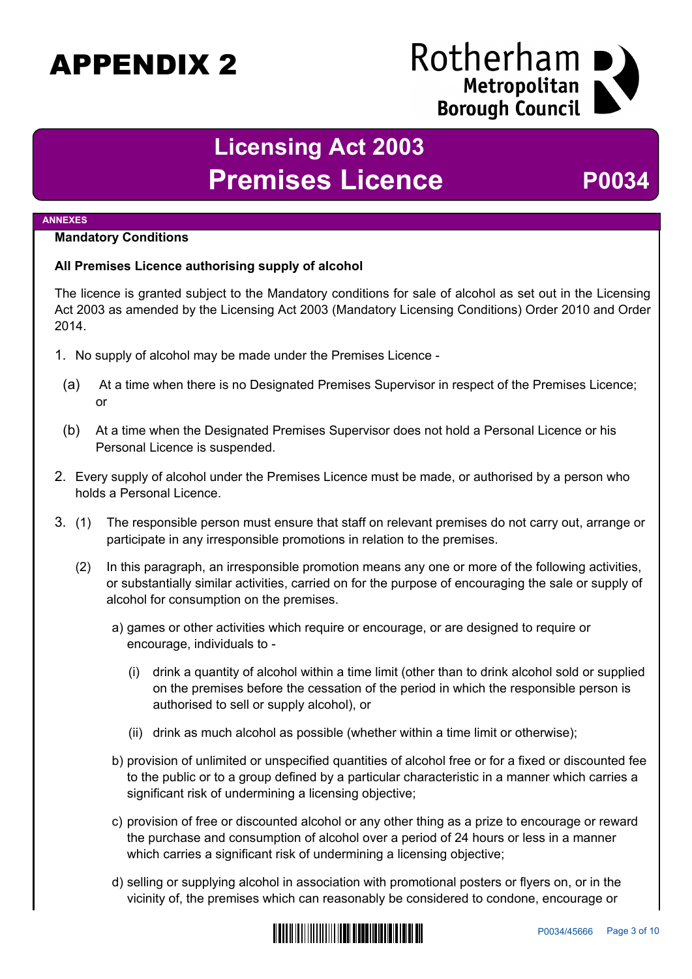## Rotherham Metropolitan **Borough Council**

# **Licensing Act 2003** Premises Licence P0034

#### **ANNEXES**

#### **Mandatory Conditions**

#### **All Premises Licence authorising supply of alcohol**

The licence is granted subject to the Mandatory conditions for sale of alcohol as set out in the Licensing Act 2003 as amended by the Licensing Act 2003 (Mandatory Licensing Conditions) Order 2010 and Order 2014.

- 1. No supply of alcohol may be made under the Premises Licence
	- (a) At a time when there is no Designated Premises Supervisor in respect of the Premises Licence; or
	- (b) At a time when the Designated Premises Supervisor does not hold a Personal Licence or his Personal Licence is suspended.
- 2. Every supply of alcohol under the Premises Licence must be made, or authorised by a person who holds a Personal Licence.
- 3. (1) The responsible person must ensure that staff on relevant premises do not carry out, arrange or participate in any irresponsible promotions in relation to the premises.
	- (2) In this paragraph, an irresponsible promotion means any one or more of the following activities, or substantially similar activities, carried on for the purpose of encouraging the sale or supply of alcohol for consumption on the premises.
		- a) games or other activities which require or encourage, or are designed to require or encourage, individuals to -
			- (i) drink a quantity of alcohol within a time limit (other than to drink alcohol sold or supplied on the premises before the cessation of the period in which the responsible person is authorised to sell or supply alcohol), or
			- (ii) drink as much alcohol as possible (whether within a time limit or otherwise);
		- b) provision of unlimited or unspecified quantities of alcohol free or for a fixed or discounted fee to the public or to a group defined by a particular characteristic in a manner which carries a significant risk of undermining a licensing objective;
		- c) provision of free or discounted alcohol or any other thing as a prize to encourage or reward the purchase and consumption of alcohol over a period of 24 hours or less in a manner which carries a significant risk of undermining a licensing objective;
		- d) selling or supplying alcohol in association with promotional posters or flyers on, or in the vicinity of, the premises which can reasonably be considered to condone, encourage or

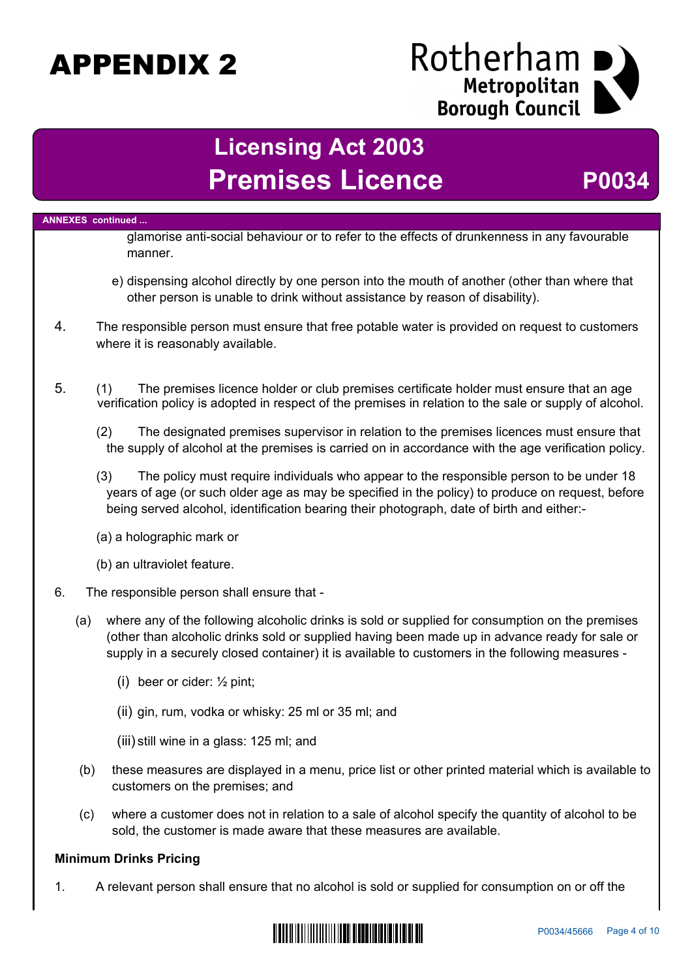# Rotherham I Metropolitan<br>| Metropolitan<br>| Borough Council

# **Licensing Act 2003 Premises Licence P0034**

|    |     | <b>ANNEXES</b> continued                                                                                                                                                                                                                                                                             |
|----|-----|------------------------------------------------------------------------------------------------------------------------------------------------------------------------------------------------------------------------------------------------------------------------------------------------------|
|    |     | glamorise anti-social behaviour or to refer to the effects of drunkenness in any favourable<br>manner.                                                                                                                                                                                               |
|    |     | e) dispensing alcohol directly by one person into the mouth of another (other than where that<br>other person is unable to drink without assistance by reason of disability).                                                                                                                        |
| 4. |     | The responsible person must ensure that free potable water is provided on request to customers<br>where it is reasonably available.                                                                                                                                                                  |
| 5. |     | (1)<br>The premises licence holder or club premises certificate holder must ensure that an age<br>verification policy is adopted in respect of the premises in relation to the sale or supply of alcohol.                                                                                            |
|    |     | (2)<br>The designated premises supervisor in relation to the premises licences must ensure that<br>the supply of alcohol at the premises is carried on in accordance with the age verification policy.                                                                                               |
|    |     | (3)<br>The policy must require individuals who appear to the responsible person to be under 18<br>years of age (or such older age as may be specified in the policy) to produce on request, before<br>being served alcohol, identification bearing their photograph, date of birth and either:-      |
|    |     | (a) a holographic mark or                                                                                                                                                                                                                                                                            |
|    |     | (b) an ultraviolet feature.                                                                                                                                                                                                                                                                          |
| 6. |     | The responsible person shall ensure that -                                                                                                                                                                                                                                                           |
|    | (a) | where any of the following alcoholic drinks is sold or supplied for consumption on the premises<br>(other than alcoholic drinks sold or supplied having been made up in advance ready for sale or<br>supply in a securely closed container) it is available to customers in the following measures - |
|    |     | (i) beer or cider: $\frac{1}{2}$ pint;                                                                                                                                                                                                                                                               |
|    |     | (ii) gin, rum, vodka or whisky: 25 ml or 35 ml; and                                                                                                                                                                                                                                                  |
|    |     | (iii) still wine in a glass: 125 ml; and                                                                                                                                                                                                                                                             |
|    | (b) | these measures are displayed in a menu, price list or other printed material which is available to<br>customers on the premises; and                                                                                                                                                                 |
|    | (c) | where a customer does not in relation to a sale of alcohol specify the quantity of alcohol to be<br>sold, the customer is made aware that these measures are available.                                                                                                                              |
|    |     | <b>Minimum Drinks Pricing</b>                                                                                                                                                                                                                                                                        |

1. A relevant person shall ensure that no alcohol is sold or supplied for consumption on or off the

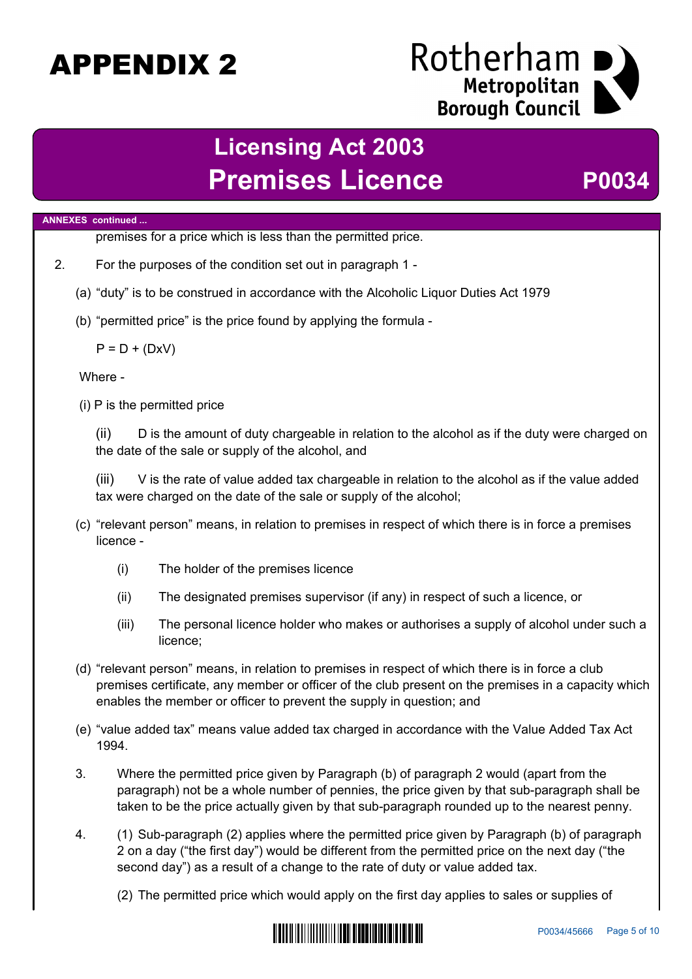## Rotherham Metropolitan **Borough Council**

# **Licensing Act 2003** Premises Licence P0034

#### **ANNEXES continued ...**

premises for a price which is less than the permitted price.

- 2. For the purposes of the condition set out in paragraph 1
	- (a) "duty" is to be construed in accordance with the Alcoholic Liquor Duties Act 1979
	- (b) "permitted price" is the price found by applying the formula -

 $P = D + (DxV)$ 

#### Where -

(i) P is the permitted price

(ii) D is the amount of duty chargeable in relation to the alcohol as if the duty were charged on the date of the sale or supply of the alcohol, and

(iii) V is the rate of value added tax chargeable in relation to the alcohol as if the value added tax were charged on the date of the sale or supply of the alcohol;

- (c) "relevant person" means, in relation to premises in respect of which there is in force a premises licence -
	- (i) The holder of the premises licence
	- (ii) The designated premises supervisor (if any) in respect of such a licence, or
	- (iii) The personal licence holder who makes or authorises a supply of alcohol under such a licence;
- (d) "relevant person" means, in relation to premises in respect of which there is in force a club premises certificate, any member or officer of the club present on the premises in a capacity which enables the member or officer to prevent the supply in question; and
- (e) "value added tax" means value added tax charged in accordance with the Value Added Tax Act 1994.
- 3. Where the permitted price given by Paragraph (b) of paragraph 2 would (apart from the paragraph) not be a whole number of pennies, the price given by that sub-paragraph shall be taken to be the price actually given by that sub-paragraph rounded up to the nearest penny.
- 4. (1) Sub-paragraph (2) applies where the permitted price given by Paragraph (b) of paragraph 2 on a day ("the first day") would be different from the permitted price on the next day ("the second day") as a result of a change to the rate of duty or value added tax.

(2) The permitted price which would apply on the first day applies to sales or supplies of

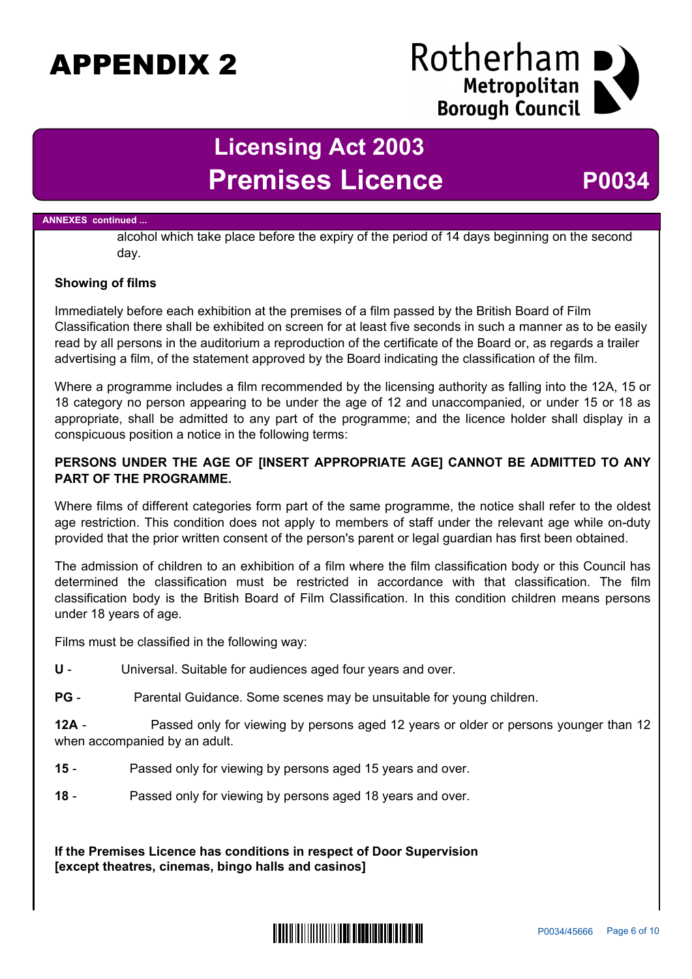### Rotherham Metropolitan **Borough Council**

# **Licensing Act 2003 Premises Licence 70034**

#### **ANNEXES continued ...**

alcohol which take place before the expiry of the period of 14 days beginning on the second day.

#### **Showing of films**

Immediately before each exhibition at the premises of a film passed by the British Board of Film Classification there shall be exhibited on screen for at least five seconds in such a manner as to be easily read by all persons in the auditorium a reproduction of the certificate of the Board or, as regards a trailer advertising a film, of the statement approved by the Board indicating the classification of the film.

Where a programme includes a film recommended by the licensing authority as falling into the 12A, 15 or 18 category no person appearing to be under the age of 12 and unaccompanied, or under 15 or 18 as appropriate, shall be admitted to any part of the programme; and the licence holder shall display in a conspicuous position a notice in the following terms:

#### **PERSONS UNDER THE AGE OF [INSERT APPROPRIATE AGE] CANNOT BE ADMITTED TO ANY PART OF THE PROGRAMME.**

Where films of different categories form part of the same programme, the notice shall refer to the oldest age restriction. This condition does not apply to members of staff under the relevant age while on-duty provided that the prior written consent of the person's parent or legal guardian has first been obtained.

The admission of children to an exhibition of a film where the film classification body or this Council has determined the classification must be restricted in accordance with that classification. The film classification body is the British Board of Film Classification. In this condition children means persons under 18 years of age.

Films must be classified in the following way:

**U** - Universal. Suitable for audiences aged four years and over.

**PG** - Parental Guidance. Some scenes may be unsuitable for young children.

**12A** - Passed only for viewing by persons aged 12 years or older or persons younger than 12 when accompanied by an adult.

- **15** Passed only for viewing by persons aged 15 years and over.
- **18** Passed only for viewing by persons aged 18 years and over.

**If the Premises Licence has conditions in respect of Door Supervision [except theatres, cinemas, bingo halls and casinos]**

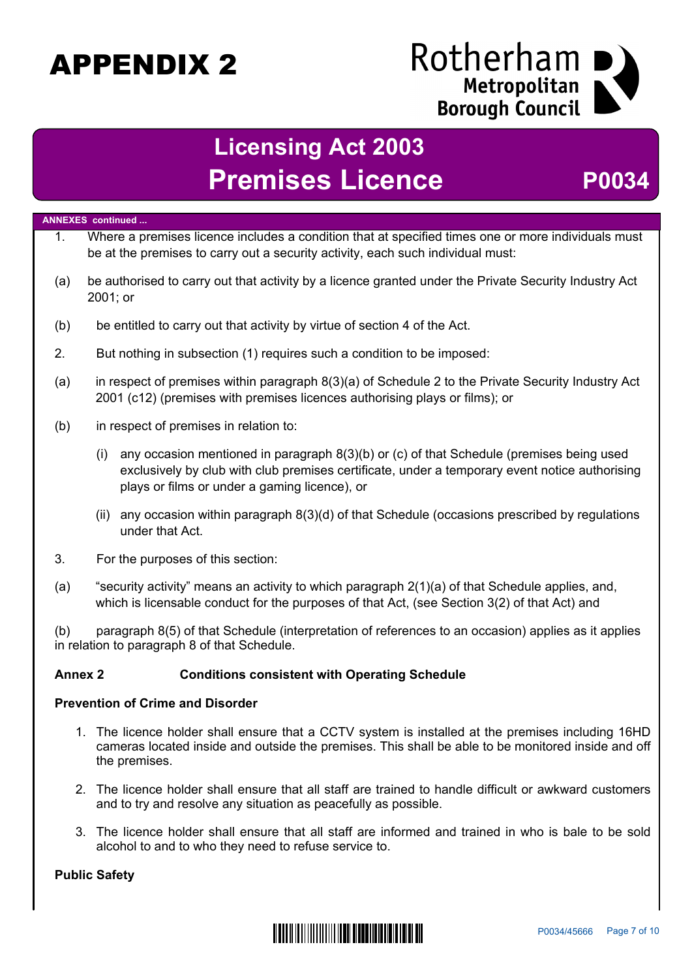## Rotherham Metropolitan **Borough Council**

# **Licensing Act 2003 Premises Licence 70034**

#### **ANNEXES continued ...** 1. Where a premises licence includes a condition that at specified times one or more individuals must be at the premises to carry out a security activity, each such individual must: (a) be authorised to carry out that activity by a licence granted under the Private Security Industry Act 2001; or

- $(b)$  be entitled to carry out that activity by virtue of section 4 of the Act.
- 2. But nothing in subsection (1) requires such a condition to be imposed:
- (a) in respect of premises within paragraph 8(3)(a) of Schedule 2 to the Private Security Industry Act 2001 (c12) (premises with premises licences authorising plays or films); or
- (b) in respect of premises in relation to:
	- (i) any occasion mentioned in paragraph 8(3)(b) or (c) of that Schedule (premises being used exclusively by club with club premises certificate, under a temporary event notice authorising plays or films or under a gaming licence), or
	- (ii) any occasion within paragraph 8(3)(d) of that Schedule (occasions prescribed by regulations under that Act.
- 3. For the purposes of this section:
- (a) "security activity" means an activity to which paragraph 2(1)(a) of that Schedule applies, and, which is licensable conduct for the purposes of that Act, (see Section 3(2) of that Act) and

(b) paragraph 8(5) of that Schedule (interpretation of references to an occasion) applies as it applies in relation to paragraph 8 of that Schedule.

#### **Annex 2 Conditions consistent with Operating Schedule**

#### **Prevention of Crime and Disorder**

- 1. The licence holder shall ensure that a CCTV system is installed at the premises including 16HD cameras located inside and outside the premises. This shall be able to be monitored inside and off the premises.
- 2. The licence holder shall ensure that all staff are trained to handle difficult or awkward customers and to try and resolve any situation as peacefully as possible.
- 3. The licence holder shall ensure that all staff are informed and trained in who is bale to be sold alcohol to and to who they need to refuse service to.

#### **Public Safety**

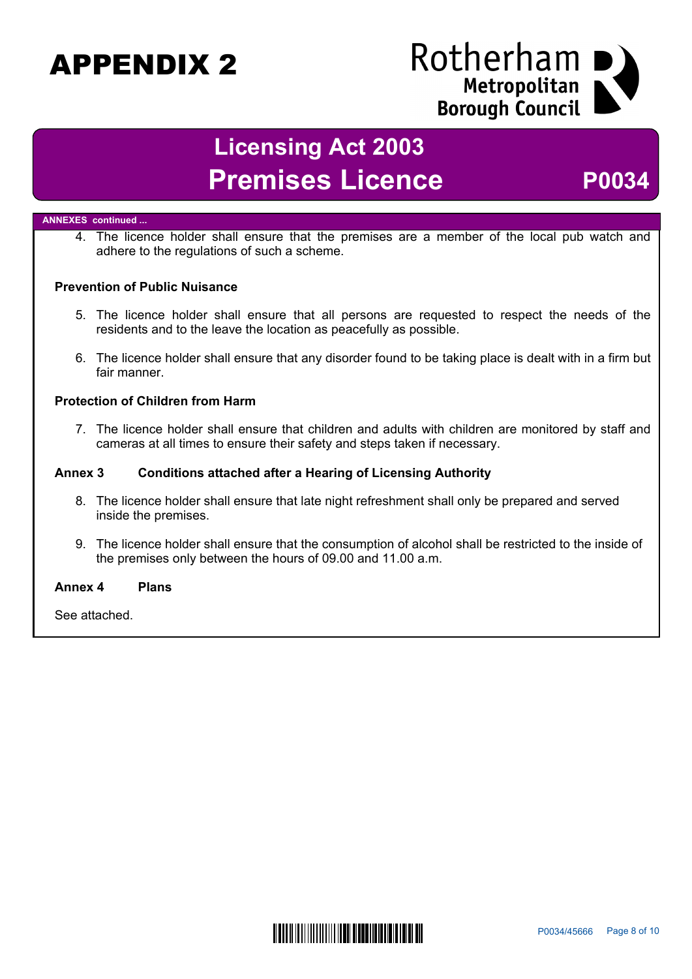### Rotherham Metropolitan **Borough Council**

# **Licensing Act 2003** Premises Licence P0034

#### **ANNEXES continued ...**

4. The licence holder shall ensure that the premises are a member of the local pub watch and adhere to the regulations of such a scheme.

#### **Prevention of Public Nuisance**

- 5. The licence holder shall ensure that all persons are requested to respect the needs of the residents and to the leave the location as peacefully as possible.
- 6. The licence holder shall ensure that any disorder found to be taking place is dealt with in a firm but fair manner.

#### **Protection of Children from Harm**

7. The licence holder shall ensure that children and adults with children are monitored by staff and cameras at all times to ensure their safety and steps taken if necessary.

#### **Annex 3 Conditions attached after a Hearing of Licensing Authority**

- 8. The licence holder shall ensure that late night refreshment shall only be prepared and served inside the premises.
- 9. The licence holder shall ensure that the consumption of alcohol shall be restricted to the inside of the premises only between the hours of 09.00 and 11.00 a.m.

#### **Annex 4 Plans**

See attached.



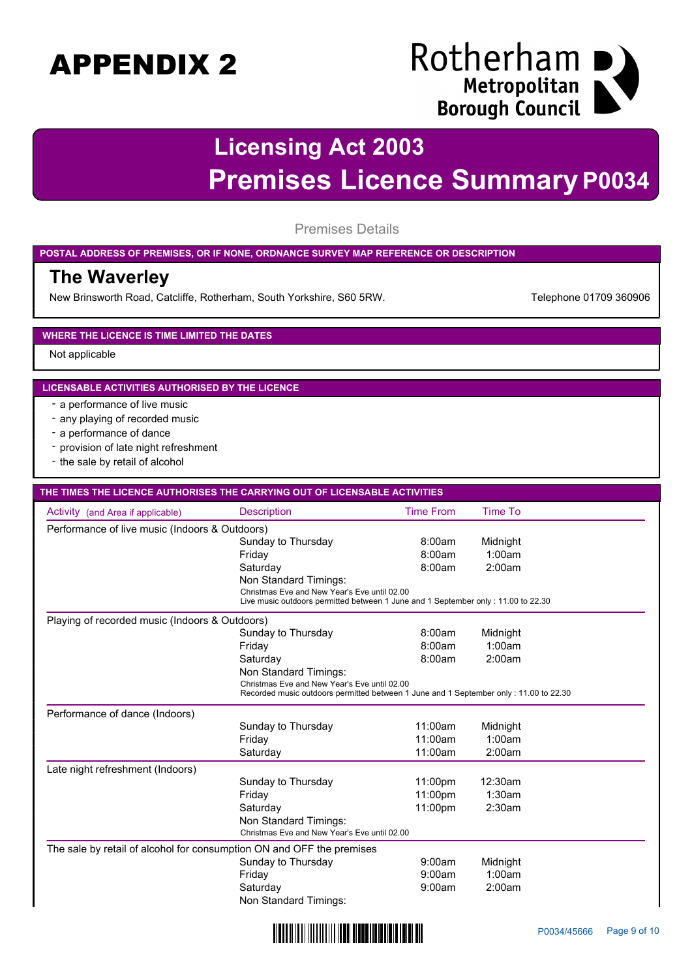# Rotherham D

# **Licensing Act 2003 Premises Licence Summary P0034**

Premises Details

#### **POSTAL ADDRESS OF PREMISES, OR IF NONE, ORDNANCE SURVEY MAP REFERENCE OR DESCRIPTION**

#### **The Waverley**

New Brinsworth Road, Catcliffe, Rotherham, South Yorkshire, S60 5RW. The Manuscriptum of the US\$0906

#### **WHERE THE LICENCE IS TIME LIMITED THE DATES**

Not applicable

#### **LICENSABLE ACTIVITIES AUTHORISED BY THE LICENCE**

- a performance of live music
- any playing of recorded music
- a performance of dance
- provision of late night refreshment
- the sale by retail of alcohol

|                                                | THE TIMES THE LICENCE AUTHORISES THE CARRYING OUT OF LICENSABLE ACTIVITIES                                                            |                  |                |
|------------------------------------------------|---------------------------------------------------------------------------------------------------------------------------------------|------------------|----------------|
| Activity (and Area if applicable)              | <b>Description</b>                                                                                                                    | <b>Time From</b> | <b>Time To</b> |
| Performance of live music (Indoors & Outdoors) |                                                                                                                                       |                  |                |
|                                                | Sunday to Thursday                                                                                                                    | 8:00am           | Midnight       |
|                                                | Friday                                                                                                                                | 8:00am           | 1:00am         |
|                                                | Saturday                                                                                                                              | 8:00am           | 2:00am         |
|                                                | Non Standard Timings:                                                                                                                 |                  |                |
|                                                | Christmas Eve and New Year's Eve until 02.00<br>Live music outdoors permitted between 1 June and 1 September only : 11.00 to 22.30    |                  |                |
| Playing of recorded music (Indoors & Outdoors) |                                                                                                                                       |                  |                |
|                                                | Sunday to Thursday                                                                                                                    | 8:00am           | Midnight       |
|                                                | Friday                                                                                                                                | 8:00am           | 1:00am         |
|                                                | Saturday                                                                                                                              | 8:00am           | 2:00am         |
|                                                | Non Standard Timings:                                                                                                                 |                  |                |
|                                                | Christmas Eve and New Year's Eve until 02.00<br>Recorded music outdoors permitted between 1 June and 1 September only: 11.00 to 22.30 |                  |                |
| Performance of dance (Indoors)                 |                                                                                                                                       |                  |                |
|                                                | Sunday to Thursday                                                                                                                    | 11:00am          | Midnight       |
|                                                | Friday                                                                                                                                | 11:00am          | 1:00am         |
|                                                | Saturday                                                                                                                              | 11:00am          | 2:00am         |
| Late night refreshment (Indoors)               |                                                                                                                                       |                  |                |
|                                                | Sunday to Thursday                                                                                                                    | 11:00pm          | 12:30am        |
|                                                | Friday                                                                                                                                | 11:00pm          | 1:30am         |
|                                                | Saturday                                                                                                                              | 11:00pm          | 2:30am         |
|                                                | Non Standard Timings:                                                                                                                 |                  |                |
|                                                | Christmas Eve and New Year's Eve until 02.00                                                                                          |                  |                |
|                                                | The sale by retail of alcohol for consumption ON and OFF the premises                                                                 |                  |                |
|                                                | Sunday to Thursday                                                                                                                    | 9:00am           | Midnight       |
|                                                | Friday                                                                                                                                | 9:00am           | 1:00am         |
|                                                | Saturday                                                                                                                              | 9:00am           | 2:00am         |
|                                                | Non Standard Timings:                                                                                                                 |                  |                |
|                                                |                                                                                                                                       |                  |                |